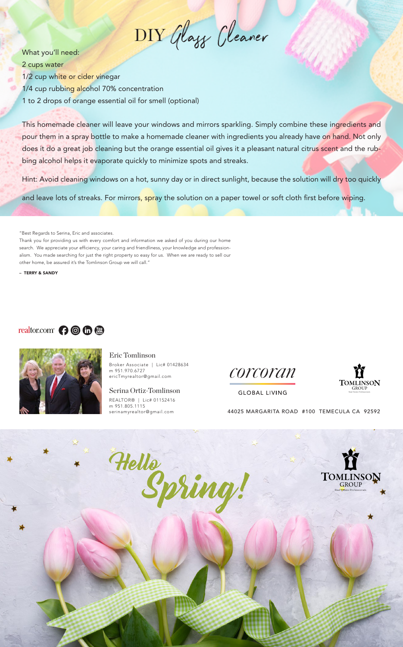"Best Regards to Serina, Eric and associates.

Thank you for providing us with every comfort and information we asked of you during our home search. We appreciate your efficiency, your caring and friendliness, your knowledge and professionalism. You made searching for just the right property so easy for us. When we are ready to sell our other home, be assured it's the Tomlinson Group we will call."

What you'll need: 2 cups water 1/2 cup white or cider vinegar 1/4 cup rubbing alcohol 70% concentration 1 to 2 drops of orange essential oil for smell (optional)

– TERRY & SANDY





### Eric Tomlinson

Broker Associate | Lic# 01428634 m 951.970.6727 ericTmyrealtor@gmail.com

### Serina Ortiz-Tomlinson

REALTOR® | Lic# 01152416 m 951.805.1115





**GLOBAL LIVING** 

serinamyrealtor@gmail.com 44025 MARGARITA ROAD #100 TEMECULA CA 92592



This homemade cleaner will leave your windows and mirrors sparkling. Simply combine these ingredients and pour them in a spray bottle to make a homemade cleaner with ingredients you already have on hand. Not only does it do a great job cleaning but the orange essential oil gives it a pleasant natural citrus scent and the rubbing alcohol helps it evaporate quickly to minimize spots and streaks.

Hint: Avoid cleaning windows on a hot, sunny day or in direct sunlight, because the solution will dry too quickly

and leave lots of streaks. For mirrors, spray the solution on a paper towel or soft cloth first before wiping.

DIY Glass Cleaner